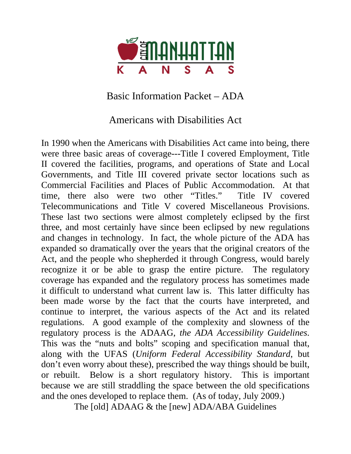

Basic Information Packet – ADA

Americans with Disabilities Act

In 1990 when the Americans with Disabilities Act came into being, there were three basic areas of coverage---Title I covered Employment, Title II covered the facilities, programs, and operations of State and Local Governments, and Title III covered private sector locations such as Commercial Facilities and Places of Public Accommodation. At that time, there also were two other "Titles." Title IV covered Telecommunications and Title V covered Miscellaneous Provisions. These last two sections were almost completely eclipsed by the first three, and most certainly have since been eclipsed by new regulations and changes in technology. In fact, the whole picture of the ADA has expanded so dramatically over the years that the original creators of the Act, and the people who shepherded it through Congress, would barely recognize it or be able to grasp the entire picture. The regulatory coverage has expanded and the regulatory process has sometimes made it difficult to understand what current law is. This latter difficulty has been made worse by the fact that the courts have interpreted, and continue to interpret, the various aspects of the Act and its related regulations. A good example of the complexity and slowness of the regulatory process is the ADAAG, *the ADA Accessibility Guidelines*. This was the "nuts and bolts" scoping and specification manual that, along with the UFAS (*Uniform Federal Accessibility Standard*, but don't even worry about these), prescribed the way things should be built, or rebuilt. Below is a short regulatory history. This is important because we are still straddling the space between the old specifications and the ones developed to replace them. (As of today, July 2009.)

The [old] ADAAG & the [new] ADA/ABA Guidelines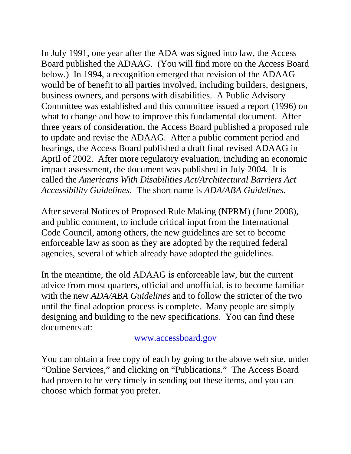In July 1991, one year after the ADA was signed into law, the Access Board published the ADAAG. (You will find more on the Access Board below.) In 1994, a recognition emerged that revision of the ADAAG would be of benefit to all parties involved, including builders, designers, business owners, and persons with disabilities. A Public Advisory Committee was established and this committee issued a report (1996) on what to change and how to improve this fundamental document. After three years of consideration, the Access Board published a proposed rule to update and revise the ADAAG. After a public comment period and hearings, the Access Board published a draft final revised ADAAG in April of 2002. After more regulatory evaluation, including an economic impact assessment, the document was published in July 2004. It is called the *Americans With Disabilities Act/Architectural Barriers Act Accessibility Guidelines*. The short name is *ADA/ABA Guidelines*.

After several Notices of Proposed Rule Making (NPRM) (June 2008), and public comment, to include critical input from the International Code Council, among others, the new guidelines are set to become enforceable law as soon as they are adopted by the required federal agencies, several of which already have adopted the guidelines.

In the meantime, the old ADAAG is enforceable law, but the current advice from most quarters, official and unofficial, is to become familiar with the new *ADA/ABA Guidelines* and to follow the stricter of the two until the final adoption process is complete. Many people are simply designing and building to the new specifications. You can find these documents at:

www.accessboard.gov

You can obtain a free copy of each by going to the above web site, under "Online Services," and clicking on "Publications." The Access Board had proven to be very timely in sending out these items, and you can choose which format you prefer.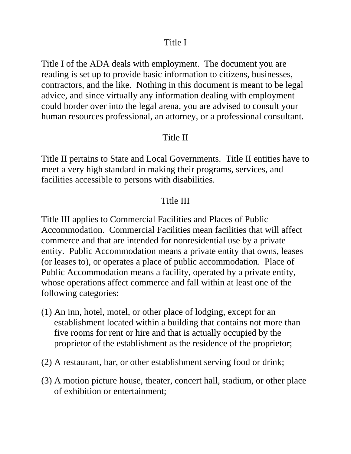## Title I

Title I of the ADA deals with employment. The document you are reading is set up to provide basic information to citizens, businesses, contractors, and the like. Nothing in this document is meant to be legal advice, and since virtually any information dealing with employment could border over into the legal arena, you are advised to consult your human resources professional, an attorney, or a professional consultant.

## Title II

Title II pertains to State and Local Governments. Title II entities have to meet a very high standard in making their programs, services, and facilities accessible to persons with disabilities.

## Title III

Title III applies to Commercial Facilities and Places of Public Accommodation. Commercial Facilities mean facilities that will affect commerce and that are intended for nonresidential use by a private entity. Public Accommodation means a private entity that owns, leases (or leases to), or operates a place of public accommodation. Place of Public Accommodation means a facility, operated by a private entity, whose operations affect commerce and fall within at least one of the following categories:

- (1) An inn, hotel, motel, or other place of lodging, except for an establishment located within a building that contains not more than five rooms for rent or hire and that is actually occupied by the proprietor of the establishment as the residence of the proprietor;
- (2) A restaurant, bar, or other establishment serving food or drink;
- (3) A motion picture house, theater, concert hall, stadium, or other place of exhibition or entertainment;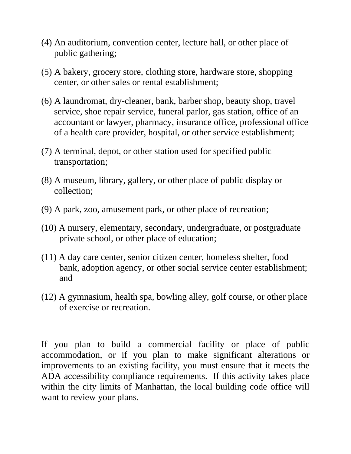- (4) An auditorium, convention center, lecture hall, or other place of public gathering;
- (5) A bakery, grocery store, clothing store, hardware store, shopping center, or other sales or rental establishment;
- (6) A laundromat, dry-cleaner, bank, barber shop, beauty shop, travel service, shoe repair service, funeral parlor, gas station, office of an accountant or lawyer, pharmacy, insurance office, professional office of a health care provider, hospital, or other service establishment;
- (7) A terminal, depot, or other station used for specified public transportation;
- (8) A museum, library, gallery, or other place of public display or collection;
- (9) A park, zoo, amusement park, or other place of recreation;
- (10) A nursery, elementary, secondary, undergraduate, or postgraduate private school, or other place of education;
- (11) A day care center, senior citizen center, homeless shelter, food bank, adoption agency, or other social service center establishment; and
- (12) A gymnasium, health spa, bowling alley, golf course, or other place of exercise or recreation.

If you plan to build a commercial facility or place of public accommodation, or if you plan to make significant alterations or improvements to an existing facility, you must ensure that it meets the ADA accessibility compliance requirements. If this activity takes place within the city limits of Manhattan, the local building code office will want to review your plans.